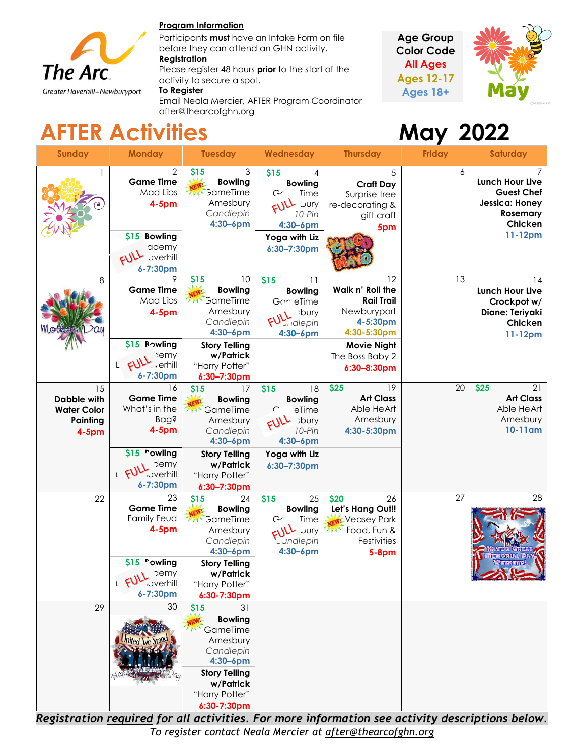

#### **Program Information**

Participants **must** have an Intake Form on file before they can attend an GHN activity.

#### **Registration**

Please register 48 hours **prior** to the start of the activity to secure a spot.

#### **To Register**

Email Neala Mercier, AFTER Program Coordinator after@thearcofghn.org





# **AFTER Activities May 2022**

| <b>Sunday</b>                                                   | <b>Monday</b>                                                                                                              | <b>Tuesday</b>                                                                                                                                                          | Wednesday                                                                                                                      | <b>Thursday</b>                                                                                                                               | <b>Friday</b> | <b>Saturday</b>                                                                                        |
|-----------------------------------------------------------------|----------------------------------------------------------------------------------------------------------------------------|-------------------------------------------------------------------------------------------------------------------------------------------------------------------------|--------------------------------------------------------------------------------------------------------------------------------|-----------------------------------------------------------------------------------------------------------------------------------------------|---------------|--------------------------------------------------------------------------------------------------------|
|                                                                 | 2<br><b>Game Time</b><br>Mad Libs<br>$4-5pm$<br>\$15 Bowling<br>ademy<br><b>Jverhill</b><br>6-7:30pm                       | 3<br>\$15<br><b>Bowling</b><br><b>GameTime</b><br>7N<br>Amesbury<br>Candlepin<br>$4:30 - 6$ pm                                                                          | \$15<br>4<br><b>Bowling</b><br>G<br>Time<br>c11<br>10-Pin<br>4:30-6pm<br>Yoga with Liz<br>6:30-7:30pm                          | 5<br><b>Craft Day</b><br>Surprise tree<br>re-decorating &<br>gift craft<br>5pm                                                                | 6             | <b>Lunch Hour Live</b><br><b>Guest Chef</b><br>Jessica: Honey<br><b>Rosemary</b><br>Chicken<br>11-12pm |
| 8                                                               | 9<br><b>Game Time</b><br>Mad Libs<br>$4-5pm$<br>\$15 Bowling<br>lemy<br>L FULL<br>$\sqrt{\frac{1}{2}}$ verhill<br>6-7:30pm | \$15<br>10<br><b>Bowling</b><br>GameTime<br><b>AMA</b><br>Amesbury<br>Candlepin<br>$4:30 - 6$ pm<br><b>Story Telling</b><br>w/Patrick<br>"Harry Potter"<br>6:30-7:30pm  | \$15<br>11<br><b>Bowling</b><br>Gor eTime<br>sbury<br>udlepin<br>4:30-6pm                                                      | 12<br>Walk n' Roll the<br><b>Rail Trail</b><br>Newburyport<br>4-5:30pm<br>4:30-5:30pm<br><b>Movie Night</b><br>The Boss Baby 2<br>6:30-8:30pm | 13            | 14<br>Lunch Hour Live<br>Crockpot w/<br>Diane: Teriyaki<br>Chicken<br>11-12pm                          |
| 15<br>Dabble with<br><b>Water Color</b><br>Painting<br>$4-5$ pm | 16<br><b>Game Time</b><br>What's in the<br><b>Bag?</b><br>$4-5$ pm<br>\$15 "owling<br>demy<br><b>Gyerhill</b><br>6-7:30pm  | 17<br>\$15<br><b>Bowling</b><br>GameTime<br><b>CANA</b><br>Amesbury<br>Candlepin<br>$4:30 - 6$ pm<br><b>Story Telling</b><br>w/Patrick<br>"Harry Potter"<br>6:30-7:30pm | \$15<br>18<br><b>Bowling</b><br>eTime<br>$\subset$<br>sbury<br>FULL<br>10-Pin<br>$4:30 - 6$ pm<br>Yoga with Liz<br>6:30-7:30pm | \$25<br>19<br><b>Art Class</b><br>Able HeArt<br>Amesbury<br>4:30-5:30pm                                                                       | 20            | 21<br>\$25<br><b>Art Class</b><br>Able HeArt<br>Amesbury<br>10-11am                                    |
| 22                                                              | 23<br><b>Game Time</b><br><b>Family Feud</b><br>$4-5$ pm<br>\$15 rowling<br>Jemy Jemy<br>6-7:30pm                          | \$15<br>24<br><b>Bowling</b><br>GameTime<br><b>ZWY</b><br>Amesbury<br>Candlepin<br>$4:30 - 6$ pm<br><b>Story Telling</b><br>w/Patrick<br>"Harry Potter"<br>6:30-7:30pm  | \$15<br>25<br><b>Bowling</b><br>C<br>Time<br>c11<br><b>Lundlepin</b><br>$4:30 - 6$ pm                                          | \$20<br>26<br>Let's Hang Out!!<br><b>x</b> Veasey Park<br>Food, Fun &<br>Festivities<br><b>5-8pm</b>                                          | 27            | 28<br>EEKEMD.                                                                                          |
| 29                                                              | 30                                                                                                                         | \$15<br>31<br><b>Bowling</b><br>GameTime<br>Amesbury<br>Candlepin<br>4:30-6pm<br><b>Story Telling</b><br>w/Patrick<br>"Harry Potter"<br>$6:30-7:30$ pm                  |                                                                                                                                |                                                                                                                                               |               |                                                                                                        |

*Registration required for all activities. For more information see activity descriptions below. To register contact Neala Mercier at [after@thearcofghn.org](mailto:after@thearcofghn.org)*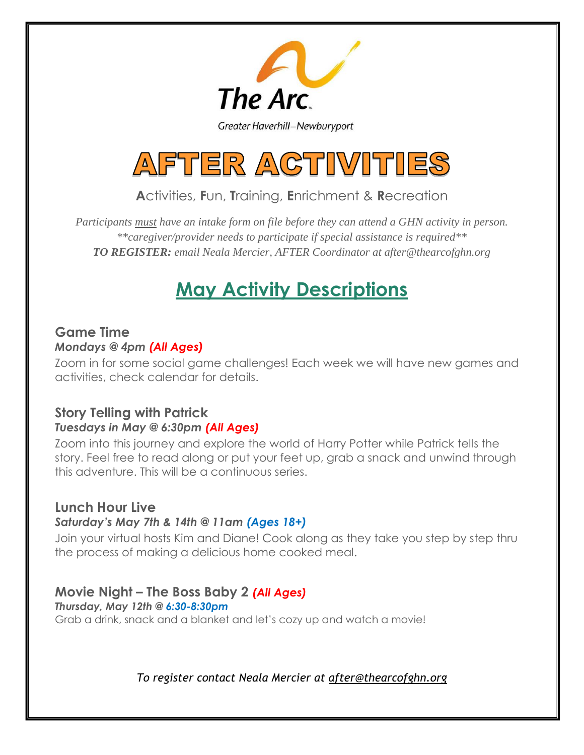

Greater Haverhill-Newburyport



# **A**ctivities, **F**un, **T**raining, **E**nrichment & **R**ecreation

*Participants must have an intake form on file before they can attend a GHN activity in person. \*\*caregiver/provider needs to participate if special assistance is required\*\* TO REGISTER: email Neala Mercier, AFTER Coordinator at after@thearcofghn.org*

# **May Activity Descriptions**

### **Game Time**  *Mondays @ 4pm (All Ages)*

Zoom in for some social game challenges! Each week we will have new games and activities, check calendar for details.

#### **Story Telling with Patrick** *Tuesdays in May @ 6:30pm (All Ages)*

Zoom into this journey and explore the world of Harry Potter while Patrick tells the story. Feel free to read along or put your feet up, grab a snack and unwind through this adventure. This will be a continuous series.

# **Lunch Hour Live**

#### *Saturday's May 7th & 14th @ 11am (Ages 18+)*

Join your virtual hosts Kim and Diane! Cook along as they take you step by step thru the process of making a delicious home cooked meal.

# **Movie Night – The Boss Baby 2** *(All Ages)*

*Thursday, May 12th @ 6:30-8:30pm* Grab a drink, snack and a blanket and let's cozy up and watch a movie!

*To register contact Neala Mercier at [after@thearcofghn.org](mailto:after@thearcofghn.org)*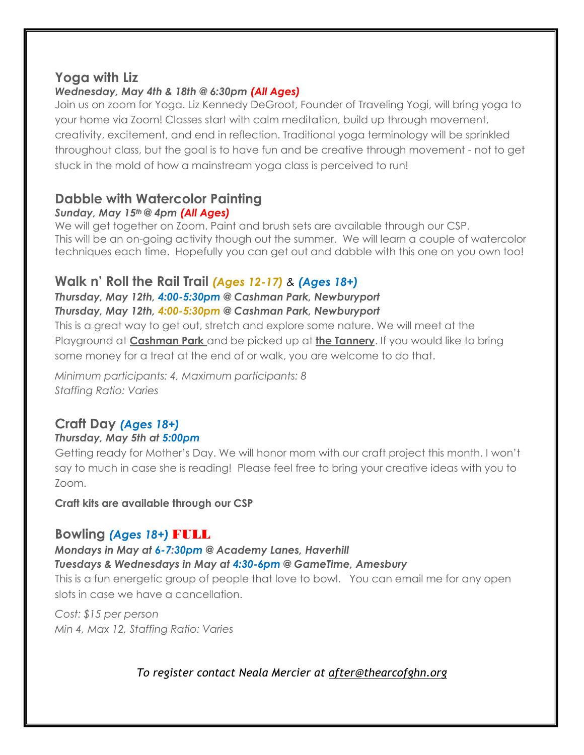# **Yoga with Liz**

### *Wednesday, May 4th & 18th @ 6:30pm (All Ages)*

Join us on zoom for Yoga. Liz Kennedy DeGroot, Founder of Traveling Yogi, will bring yoga to your home via Zoom! Classes start with calm meditation, build up through movement, creativity, excitement, and end in reflection. Traditional yoga terminology will be sprinkled throughout class, but the goal is to have fun and be creative through movement - not to get stuck in the mold of how a mainstream yoga class is perceived to run!

# **Dabble with Watercolor Painting**

#### *Sunday, May 15th @ 4pm (All Ages)*

We will get together on Zoom. Paint and brush sets are available through our CSP. This will be an on-going activity though out the summer. We will learn a couple of watercolor techniques each time. Hopefully you can get out and dabble with this one on you own too!

# **Walk n' Roll the Rail Trail** *(Ages 12-17) & (Ages 18+)*

*Thursday, May 12th, 4:00-5:30pm @ Cashman Park, Newburyport Thursday, May 12th, 4:00-5:30pm @ Cashman Park, Newburyport* 

This is a great way to get out, stretch and explore some nature. We will meet at the Playground at **Cashman Park** and be picked up at **the Tannery**. If you would like to bring some money for a treat at the end of or walk, you are welcome to do that.

*Minimum participants: 4, Maximum participants: 8 Staffing Ratio: Varies* 

# **Craft Day** *(Ages 18+)*

### *Thursday, May 5th at 5:00pm*

Getting ready for Mother's Day. We will honor mom with our craft project this month. I won't say to much in case she is reading! Please feel free to bring your creative ideas with you to Zoom.

**Craft kits are available through our CSP**

# **Bowling** *(Ages 18+)* FULL

*Mondays in May at 6-7:30pm @ Academy Lanes, Haverhill* 

*Tuesdays & Wednesdays in May at 4:30-6pm @ GameTime, Amesbury* 

This is a fun energetic group of people that love to bowl. You can email me for any open slots in case we have a cancellation.

*Cost: \$15 per person Min 4, Max 12, Staffing Ratio: Varies*

# *To register contact Neala Mercier at [after@thearcofghn.org](mailto:after@thearcofghn.org)*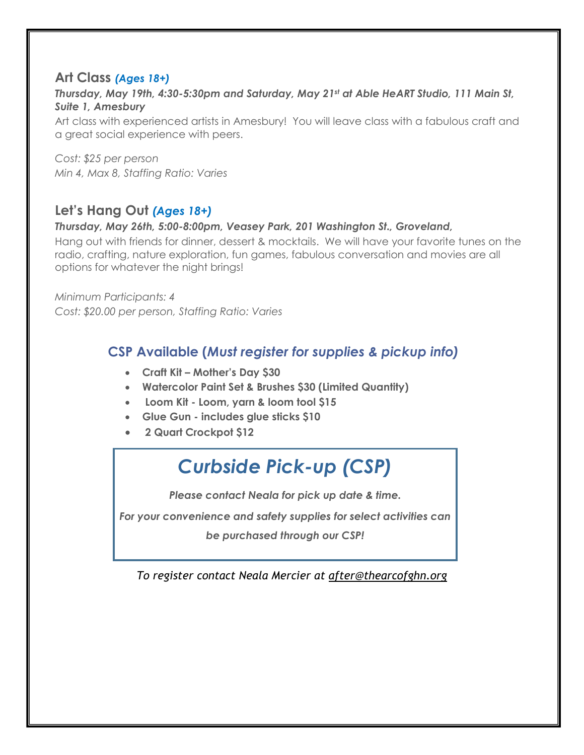# **Art Class** *(Ages 18+)*

#### *Thursday, May 19th, 4:30-5:30pm and Saturday, May 21st at Able HeART Studio, 111 Main St, Suite 1, Amesbury*

Art class with experienced artists in Amesbury! You will leave class with a fabulous craft and a great social experience with peers.

*Cost: \$25 per person Min 4, Max 8, Staffing Ratio: Varies*

# **Let's Hang Out** *(Ages 18+)*

#### *Thursday, May 26th, 5:00-8:00pm, Veasey Park, 201 Washington St., Groveland,*

Hang out with friends for dinner, dessert & mocktails. We will have your favorite tunes on the radio, crafting, nature exploration, fun games, fabulous conversation and movies are all options for whatever the night brings!

*Minimum Participants: 4 Cost: \$20.00 per person, Staffing Ratio: Varies* 

# **CSP Available (***Must register for supplies & pickup info)*

- **Craft Kit – Mother's Day \$30**
- **Watercolor Paint Set & Brushes \$30 (Limited Quantity)**
- **Loom Kit - Loom, yarn & loom tool \$15**
- **Glue Gun - includes glue sticks \$10**
- **2 Quart Crockpot \$12**

# *Curbside Pick-up (CSP)*

*Please contact Neala for pick up date & time.*

*For your convenience and safety supplies for select activities can be purchased through our CSP!*

*To register contact Neala Mercier at [after@thearcofghn.org](mailto:after@thearcofghn.org) CSP Available*